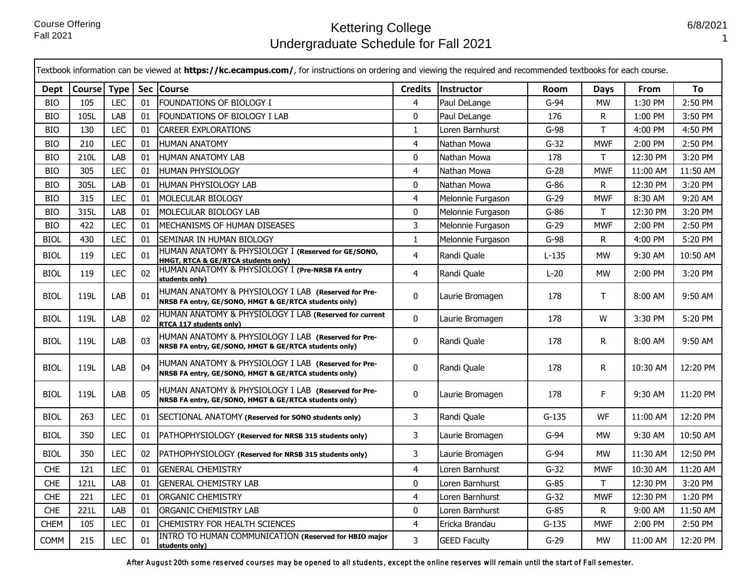|             | Textbook information can be viewed at https://kc.ecampus.com/, for instructions on ordering and viewing the required and recommended textbooks for each course. |            |    |                                                                                                              |                |                     |         |            |          |          |
|-------------|-----------------------------------------------------------------------------------------------------------------------------------------------------------------|------------|----|--------------------------------------------------------------------------------------------------------------|----------------|---------------------|---------|------------|----------|----------|
| Dept        | Course Type                                                                                                                                                     |            |    | Sec Course                                                                                                   | <b>Credits</b> | Instructor          | Room    | Days       | From     | To       |
| <b>BIO</b>  | 105                                                                                                                                                             | <b>LEC</b> | 01 | <b>FOUNDATIONS OF BIOLOGY I</b>                                                                              | $\overline{4}$ | Paul DeLange        | $G-94$  | <b>MW</b>  | 1:30 PM  | 2:50 PM  |
| <b>BIO</b>  | 105L                                                                                                                                                            | LAB        | 01 | FOUNDATIONS OF BIOLOGY I LAB                                                                                 | $\mathbf{0}$   | Paul DeLange        | 176     | R          | 1:00 PM  | 3:50 PM  |
| <b>BIO</b>  | 130                                                                                                                                                             | <b>LEC</b> | 01 | <b>CAREER EXPLORATIONS</b>                                                                                   | 1              | Loren Barnhurst     | $G-98$  | т          | 4:00 PM  | 4:50 PM  |
| <b>BIO</b>  | 210                                                                                                                                                             | <b>LEC</b> | 01 | <b>HUMAN ANATOMY</b>                                                                                         | $\overline{4}$ | Nathan Mowa         | $G-32$  | <b>MWF</b> | 2:00 PM  | 2:50 PM  |
| <b>BIO</b>  | 210L                                                                                                                                                            | LAB        | 01 | HUMAN ANATOMY LAB                                                                                            | $\mathbf 0$    | Nathan Mowa         | 178     | T.         | 12:30 PM | 3:20 PM  |
| <b>BIO</b>  | 305                                                                                                                                                             | <b>LEC</b> | 01 | <b>HUMAN PHYSIOLOGY</b>                                                                                      | $\overline{4}$ | Nathan Mowa         | $G-28$  | <b>MWF</b> | 11:00 AM | 11:50 AM |
| <b>BIO</b>  | 305L                                                                                                                                                            | LAB        | 01 | HUMAN PHYSIOLOGY LAB                                                                                         | 0              | Nathan Mowa         | $G-86$  | R          | 12:30 PM | 3:20 PM  |
| <b>BIO</b>  | 315                                                                                                                                                             | LEC        | 01 | MOLECULAR BIOLOGY                                                                                            | $\overline{4}$ | Melonnie Furgason   | $G-29$  | <b>MWF</b> | 8:30 AM  | 9:20 AM  |
| <b>BIO</b>  | 315L                                                                                                                                                            | LAB        | 01 | MOLECULAR BIOLOGY LAB                                                                                        | $\mathbf 0$    | Melonnie Furgason   | $G-86$  | T.         | 12:30 PM | 3:20 PM  |
| <b>BIO</b>  | 422                                                                                                                                                             | <b>LEC</b> | 01 | MECHANISMS OF HUMAN DISEASES                                                                                 | 3              | Melonnie Furgason   | $G-29$  | <b>MWF</b> | 2:00 PM  | 2:50 PM  |
| <b>BIOL</b> | 430                                                                                                                                                             | <b>LEC</b> | 01 | SEMINAR IN HUMAN BIOLOGY                                                                                     | $\mathbf{1}$   | Melonnie Furgason   | $G-98$  | R          | 4:00 PM  | 5:20 PM  |
| BIOL        | 119                                                                                                                                                             | LEC        | 01 | HUMAN ANATOMY & PHYSIOLOGY I (Reserved for GE/SONO,<br><b>HMGT, RTCA &amp; GE/RTCA students only)</b>        | $\overline{4}$ | Randi Quale         | L-135   | <b>MW</b>  | 9:30 AM  | 10:50 AM |
| BIOL        | 119                                                                                                                                                             | <b>LEC</b> | 02 | HUMAN ANATOMY & PHYSIOLOGY I (Pre-NRSB FA entry<br>students only)                                            | $\overline{4}$ | Randi Quale         | $L-20$  | <b>MW</b>  | 2:00 PM  | 3:20 PM  |
| <b>BIOL</b> | 119L                                                                                                                                                            | LAB        | 01 | HUMAN ANATOMY & PHYSIOLOGY I LAB (Reserved for Pre-<br>NRSB FA entry, GE/SONO, HMGT & GE/RTCA students only) | 0              | Laurie Bromagen     | 178     | T.         | 8:00 AM  | 9:50 AM  |
| <b>BIOL</b> | 119L                                                                                                                                                            | LAB        | 02 | HUMAN ANATOMY & PHYSIOLOGY I LAB (Reserved for current<br>RTCA 117 students only)                            | $\mathbf 0$    | Laurie Bromagen     | 178     | W          | 3:30 PM  | 5:20 PM  |
| <b>BIOL</b> | 119L                                                                                                                                                            | LAB        | 03 | HUMAN ANATOMY & PHYSIOLOGY I LAB (Reserved for Pre-<br>NRSB FA entry, GE/SONO, HMGT & GE/RTCA students only) | 0              | Randi Quale         | 178     | R          | 8:00 AM  | 9:50 AM  |
| <b>BIOL</b> | 119L                                                                                                                                                            | LAB        | 04 | HUMAN ANATOMY & PHYSIOLOGY I LAB (Reserved for Pre-<br>NRSB FA entry, GE/SONO, HMGT & GE/RTCA students only) | 0              | Randi Quale         | 178     | R.         | 10:30 AM | 12:20 PM |
| BIOL        | 119L                                                                                                                                                            | LAB        | 05 | HUMAN ANATOMY & PHYSIOLOGY I LAB (Reserved for Pre-<br>NRSB FA entry, GE/SONO, HMGT & GE/RTCA students only) | $\mathbf 0$    | Laurie Bromagen     | 178     | F          | 9:30 AM  | 11:20 PM |
| <b>BIOL</b> | 263                                                                                                                                                             | LEC        | 01 | SECTIONAL ANATOMY (Reserved for SONO students only)                                                          | 3              | Randi Quale         | $G-135$ | WF         | 11:00 AM | 12:20 PM |
| BIOL        | 350                                                                                                                                                             | LEC        | 01 | PATHOPHYSIOLOGY (Reserved for NRSB 315 students only)                                                        | 3              | Laurie Bromagen     | $G-94$  | <b>MW</b>  | 9:30 AM  | 10:50 AM |
| <b>BIOL</b> | 350                                                                                                                                                             | <b>LEC</b> | 02 | PATHOPHYSIOLOGY (Reserved for NRSB 315 students only)                                                        | 3              | Laurie Bromagen     | $G-94$  | <b>MW</b>  | 11:30 AM | 12:50 PM |
| <b>CHE</b>  | 121                                                                                                                                                             | <b>LEC</b> | 01 | <b>GENERAL CHEMISTRY</b>                                                                                     | $\overline{4}$ | Loren Barnhurst     | $G-32$  | <b>MWF</b> | 10:30 AM | 11:20 AM |
| <b>CHE</b>  | 121L                                                                                                                                                            | LAB        | 01 | <b>GENERAL CHEMISTRY LAB</b>                                                                                 | 0              | Loren Barnhurst     | $G-85$  | T.         | 12:30 PM | 3:20 PM  |
| <b>CHE</b>  | 221                                                                                                                                                             | LEC        | 01 | <b>ORGANIC CHEMISTRY</b>                                                                                     | $\overline{4}$ | Loren Barnhurst     | $G-32$  | <b>MWF</b> | 12:30 PM | 1:20 PM  |
| <b>CHE</b>  | 2211                                                                                                                                                            | LAB        | 01 | ORGANIC CHEMISTRY LAB                                                                                        | 0              | Loren Barnhurst     | $G-85$  | R          | 9:00 AM  | 11:50 AM |
| <b>CHEM</b> | 105                                                                                                                                                             | LEC        | 01 | CHEMISTRY FOR HEALTH SCIENCES                                                                                | $\overline{4}$ | Ericka Brandau      | $G-135$ | <b>MWF</b> | 2:00 PM  | 2:50 PM  |
| <b>COMM</b> | 215                                                                                                                                                             | <b>LEC</b> | 01 | INTRO TO HUMAN COMMUNICATION (Reserved for HBIO major<br>students only)                                      | 3              | <b>GEED Faculty</b> | $G-29$  | <b>MW</b>  | 11:00 AM | 12:20 PM |

After August 20th some reserved courses may be opened to all students, except the online reserves will remain until the start of Fall semester.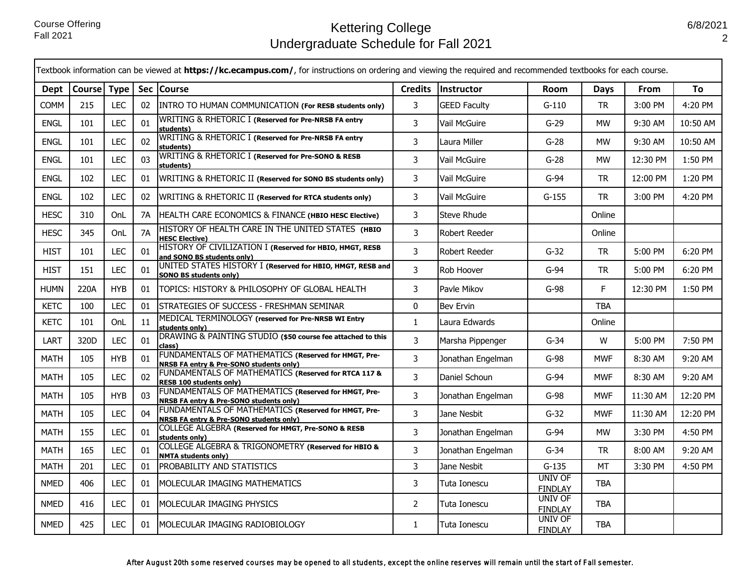|             | Textbook information can be viewed at https://kc.ecampus.com/, for instructions on ordering and viewing the required and recommended textbooks for each course. |            |           |                                                                                                            |                |                     |                                  |            |          |          |  |
|-------------|-----------------------------------------------------------------------------------------------------------------------------------------------------------------|------------|-----------|------------------------------------------------------------------------------------------------------------|----------------|---------------------|----------------------------------|------------|----------|----------|--|
| Dept        | Course   Type                                                                                                                                                   |            |           | Sec   Course                                                                                               | <b>Credits</b> | Instructor          | <b>Room</b>                      | Days       | From     | To       |  |
| <b>COMM</b> | 215                                                                                                                                                             | LEC        | 02        | INTRO TO HUMAN COMMUNICATION (For RESB students only)                                                      | 3              | <b>GEED Faculty</b> | $G-110$                          | <b>TR</b>  | 3:00 PM  | 4:20 PM  |  |
| <b>ENGL</b> | 101                                                                                                                                                             | <b>LEC</b> | 01        | WRITING & RHETORIC I (Reserved for Pre-NRSB FA entry<br>students)                                          | 3              | Vail McGuire        | $G-29$                           | <b>MW</b>  | 9:30 AM  | 10:50 AM |  |
| <b>ENGL</b> | 101                                                                                                                                                             | <b>LEC</b> | 02        | WRITING & RHETORIC I (Reserved for Pre-NRSB FA entry<br>students)                                          | 3              | Laura Miller        | $G-28$                           | <b>MW</b>  | 9:30 AM  | 10:50 AM |  |
| <b>ENGL</b> | 101                                                                                                                                                             | <b>LEC</b> | 03        | WRITING & RHETORIC I (Reserved for Pre-SONO & RESB<br>students)                                            | 3              | Vail McGuire        | $G-28$                           | <b>MW</b>  | 12:30 PM | 1:50 PM  |  |
| <b>ENGL</b> | 102                                                                                                                                                             | <b>LEC</b> | 01        | WRITING & RHETORIC II (Reserved for SONO BS students only)                                                 | 3              | Vail McGuire        | $G-94$                           | TR         | 12:00 PM | 1:20 PM  |  |
| <b>ENGL</b> | 102                                                                                                                                                             | <b>LEC</b> | 02        | WRITING & RHETORIC II (Reserved for RTCA students only)                                                    | 3              | Vail McGuire        | $G-155$                          | <b>TR</b>  | 3:00 PM  | 4:20 PM  |  |
| <b>HESC</b> | 310                                                                                                                                                             | OnL        | 7A        | HEALTH CARE ECONOMICS & FINANCE (HBIO HESC Elective)                                                       | 3              | <b>Steve Rhude</b>  |                                  | Online     |          |          |  |
| <b>HESC</b> | 345                                                                                                                                                             | OnL        | <b>7A</b> | HISTORY OF HEALTH CARE IN THE UNITED STATES (HBIO<br><b>HESC Elective)</b>                                 | 3              | Robert Reeder       |                                  | Online     |          |          |  |
| HIST        | 101                                                                                                                                                             | <b>LEC</b> | 01        | HISTORY OF CIVILIZATION I (Reserved for HBIO, HMGT, RESB<br>and SONO BS students only)                     | $\mathsf{3}$   | Robert Reeder       | $G-32$                           | TR         | 5:00 PM  | 6:20 PM  |  |
| <b>HIST</b> | 151                                                                                                                                                             | LEC        | 01        | UNITED STATES HISTORY I (Reserved for HBIO, HMGT, RESB and<br><b>SONO BS students only)</b>                | $\overline{3}$ | Rob Hoover          | $G-94$                           | <b>TR</b>  | 5:00 PM  | 6:20 PM  |  |
| <b>HUMN</b> | 220A                                                                                                                                                            | <b>HYB</b> | 01        | TOPICS: HISTORY & PHILOSOPHY OF GLOBAL HEALTH                                                              | 3              | Pavle Mikov         | $G-98$                           | F          | 12:30 PM | 1:50 PM  |  |
| <b>KETC</b> | 100                                                                                                                                                             | <b>LEC</b> | 01        | STRATEGIES OF SUCCESS - FRESHMAN SEMINAR                                                                   | 0              | <b>Bev Ervin</b>    |                                  | <b>TBA</b> |          |          |  |
| <b>KETC</b> | 101                                                                                                                                                             | OnL        | 11        | MEDICAL TERMINOLOGY (reserved for Pre-NRSB WI Entry<br>students only)                                      | $\mathbf{1}$   | Laura Edwards       |                                  | Online     |          |          |  |
| LART        | 320D                                                                                                                                                            | <b>LEC</b> | 01        | DRAWING & PAINTING STUDIO (\$50 course fee attached to this<br>class)                                      | $\overline{3}$ | Marsha Pippenger    | $G-34$                           | W          | 5:00 PM  | 7:50 PM  |  |
| MATH        | 105                                                                                                                                                             | <b>HYB</b> | 01        | FUNDAMENTALS OF MATHEMATICS (Reserved for HMGT, Pre-<br><b>NRSB FA entry &amp; Pre-SONO students only)</b> | $\mathsf{3}$   | Jonathan Engelman   | G-98                             | <b>MWF</b> | 8:30 AM  | 9:20 AM  |  |
| <b>MATH</b> | 105                                                                                                                                                             | <b>LEC</b> | 02        | FUNDAMENTALS OF MATHEMATICS (Reserved for RTCA 117 &<br><b>RESB 100 students only)</b>                     | $\overline{3}$ | Daniel Schoun       | $G-94$                           | <b>MWF</b> | 8:30 AM  | 9:20 AM  |  |
| <b>MATH</b> | 105                                                                                                                                                             | <b>HYB</b> | 03        | FUNDAMENTALS OF MATHEMATICS (Reserved for HMGT, Pre-<br><b>NRSB FA entry &amp; Pre-SONO students only)</b> | 3              | Jonathan Engelman   | $G-98$                           | <b>MWF</b> | 11:30 AM | 12:20 PM |  |
| <b>MATH</b> | 105                                                                                                                                                             | <b>LEC</b> | 04        | FUNDAMENTALS OF MATHEMATICS (Reserved for HMGT, Pre-<br><b>NRSB FA entry &amp; Pre-SONO students only)</b> | 3              | Jane Nesbit         | $G-32$                           | <b>MWF</b> | 11:30 AM | 12:20 PM |  |
| <b>MATH</b> | 155                                                                                                                                                             | <b>LEC</b> | 01        | COLLEGE ALGEBRA (Reserved for HMGT, Pre-SONO & RESB<br>students only)                                      | 3              | Jonathan Engelman   | $G-94$                           | <b>MW</b>  | 3:30 PM  | 4:50 PM  |  |
| <b>MATH</b> | 165                                                                                                                                                             | <b>LEC</b> | 01        | COLLEGE ALGEBRA & TRIGONOMETRY (Reserved for HBIO &<br><b>NMTA students only)</b>                          | 3              | Jonathan Engelman   | $G-34$                           | TR         | 8:00 AM  | 9:20 AM  |  |
| <b>MATH</b> | 201                                                                                                                                                             | <b>LEC</b> | 01        | PROBABILITY AND STATISTICS                                                                                 | 3              | Jane Nesbit         | $G-135$                          | <b>MT</b>  | 3:30 PM  | 4:50 PM  |  |
| <b>NMED</b> | 406                                                                                                                                                             | LEC        | 01        | MOLECULAR IMAGING MATHEMATICS                                                                              | 3              | Tuta Ionescu        | <b>UNIV OF</b><br><b>FINDLAY</b> | <b>TBA</b> |          |          |  |
| <b>NMED</b> | 416                                                                                                                                                             | <b>LEC</b> | 01        | MOLECULAR IMAGING PHYSICS                                                                                  | $\overline{2}$ | Tuta Ionescu        | <b>UNIV OF</b><br><b>FINDLAY</b> | <b>TBA</b> |          |          |  |
| <b>NMED</b> | 425                                                                                                                                                             | LEC        | 01        | MOLECULAR IMAGING RADIOBIOLOGY                                                                             | $\mathbf{1}$   | Tuta Ionescu        | UNIV OF<br><b>FINDLAY</b>        | <b>TBA</b> |          |          |  |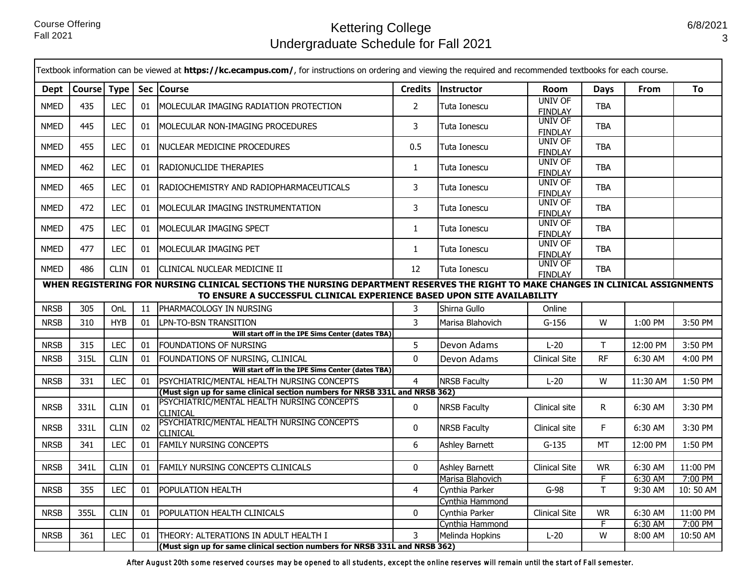п

# Kettering College Undergraduate Schedule for Fall 2021

|                                                                                                                                                                                                             | Textbook information can be viewed at https://kc.ecampus.com/, for instructions on ordering and viewing the required and recommended textbooks for each course. |             |    |                                                                             |                |                                           |                                  |                |                    |                     |
|-------------------------------------------------------------------------------------------------------------------------------------------------------------------------------------------------------------|-----------------------------------------------------------------------------------------------------------------------------------------------------------------|-------------|----|-----------------------------------------------------------------------------|----------------|-------------------------------------------|----------------------------------|----------------|--------------------|---------------------|
| Dept                                                                                                                                                                                                        | Course Type                                                                                                                                                     |             |    | Sec Course                                                                  | <b>Credits</b> | Instructor                                | <b>Room</b>                      | Days           | From               | <b>To</b>           |
| <b>NMED</b>                                                                                                                                                                                                 | 435                                                                                                                                                             | <b>LEC</b>  | 01 | MOLECULAR IMAGING RADIATION PROTECTION                                      | $\overline{2}$ | Tuta Ionescu                              | <b>UNIV OF</b><br><b>FINDLAY</b> | <b>TBA</b>     |                    |                     |
| <b>NMED</b>                                                                                                                                                                                                 | 445                                                                                                                                                             | LEC         | 01 | <b>IMOLECULAR NON-IMAGING PROCEDURES</b>                                    | 3              | Tuta Ionescu                              | UNIV OF<br><b>FINDLAY</b>        | <b>TBA</b>     |                    |                     |
| <b>NMED</b>                                                                                                                                                                                                 | 455                                                                                                                                                             | <b>LEC</b>  | 01 | INUCLEAR MEDICINE PROCEDURES                                                | 0.5            | Tuta Ionescu                              | <b>UNIV OF</b><br><b>FINDLAY</b> | <b>TBA</b>     |                    |                     |
| <b>NMED</b>                                                                                                                                                                                                 | 462                                                                                                                                                             | <b>LEC</b>  | 01 | <b>RADIONUCLIDE THERAPIES</b>                                               | $\mathbf{1}$   | Tuta Ionescu                              | <b>UNIV OF</b><br><b>FINDLAY</b> | <b>TBA</b>     |                    |                     |
| <b>NMED</b>                                                                                                                                                                                                 | 465                                                                                                                                                             | <b>LEC</b>  | 01 | RADIOCHEMISTRY AND RADIOPHARMACEUTICALS                                     | 3              | Tuta Ionescu                              | <b>UNIV OF</b><br><b>FINDLAY</b> | <b>TBA</b>     |                    |                     |
| <b>NMED</b>                                                                                                                                                                                                 | 472                                                                                                                                                             | <b>LEC</b>  | 01 | MOLECULAR IMAGING INSTRUMENTATION                                           | 3              | Tuta Ionescu                              | <b>UNIV OF</b><br><b>FINDLAY</b> | <b>TBA</b>     |                    |                     |
| <b>NMED</b>                                                                                                                                                                                                 | 475                                                                                                                                                             | <b>LEC</b>  | 01 | MOLECULAR IMAGING SPECT                                                     | $\mathbf{1}$   | Tuta Ionescu                              | <b>UNIV OF</b><br><b>FINDLAY</b> | <b>TBA</b>     |                    |                     |
| <b>NMED</b>                                                                                                                                                                                                 | 477                                                                                                                                                             | <b>LEC</b>  | 01 | MOLECULAR IMAGING PET                                                       | $\mathbf{1}$   | Tuta Ionescu                              | <b>UNIV OF</b><br><b>FINDLAY</b> | <b>TBA</b>     |                    |                     |
| <b>NMED</b>                                                                                                                                                                                                 | 486                                                                                                                                                             | <b>CLIN</b> |    | 01 CLINICAL NUCLEAR MEDICINE II                                             | 12             | Tuta Ionescu                              | UNIV OF<br><b>FINDLAY</b>        | <b>TBA</b>     |                    |                     |
| WHEN REGISTERING FOR NURSING CLINICAL SECTIONS THE NURSING DEPARTMENT RESERVES THE RIGHT TO MAKE CHANGES IN CLINICAL ASSIGNMENTS<br>TO ENSURE A SUCCESSFUL CLINICAL EXPERIENCE BASED UPON SITE AVAILABILITY |                                                                                                                                                                 |             |    |                                                                             |                |                                           |                                  |                |                    |                     |
| <b>NRSB</b>                                                                                                                                                                                                 | 305                                                                                                                                                             | OnL         | 11 | <b>IPHARMACOLOGY IN NURSING</b>                                             | 3              | Shirna Gullo                              | Online                           |                |                    |                     |
| <b>NRSB</b>                                                                                                                                                                                                 | 310                                                                                                                                                             | <b>HYB</b>  | 01 | LPN-TO-BSN TRANSITION                                                       | $\overline{3}$ | Marisa Blahovich                          | $G-156$                          | W              | 1:00 PM            | 3:50 PM             |
|                                                                                                                                                                                                             |                                                                                                                                                                 |             |    | Will start off in the IPE Sims Center (dates TBA)                           |                |                                           |                                  |                |                    |                     |
| <b>NRSB</b>                                                                                                                                                                                                 | 315                                                                                                                                                             | <b>LEC</b>  | 01 | <b>FOUNDATIONS OF NURSING</b>                                               | 5              | Devon Adams                               | $L-20$                           | $\top$         | 12:00 PM           | 3:50 PM             |
| <b>NRSB</b>                                                                                                                                                                                                 | 315L                                                                                                                                                            | <b>CLIN</b> | 01 | FOUNDATIONS OF NURSING, CLINICAL                                            | $\Omega$       | Devon Adams                               | <b>Clinical Site</b>             | <b>RF</b>      | 6:30 AM            | 4:00 PM             |
|                                                                                                                                                                                                             |                                                                                                                                                                 |             |    | Will start off in the IPE Sims Center (dates TBA)                           |                |                                           |                                  |                |                    |                     |
| <b>NRSB</b>                                                                                                                                                                                                 | 331                                                                                                                                                             | <b>LEC</b>  | 01 | PSYCHIATRIC/MENTAL HEALTH NURSING CONCEPTS                                  | $\overline{4}$ | <b>NRSB Faculty</b>                       | $L-20$                           | W              | 11:30 AM           | 1:50 PM             |
|                                                                                                                                                                                                             |                                                                                                                                                                 |             |    | (Must sign up for same clinical section numbers for NRSB 331L and NRSB 362) |                |                                           |                                  |                |                    |                     |
| <b>NRSB</b>                                                                                                                                                                                                 | 331L                                                                                                                                                            | <b>CLIN</b> | 01 | PSYCHIATRIC/MENTAL HEALTH NURSING CONCEPTS<br><b>CLINICAL</b>               | 0              | <b>NRSB Faculty</b>                       | Clinical site                    | $\mathsf{R}$   | 6:30 AM            | 3:30 PM             |
| <b>NRSB</b>                                                                                                                                                                                                 | 331L                                                                                                                                                            | <b>CLIN</b> | 02 | PSYCHIATRIC/MENTAL HEALTH NURSING CONCEPTS<br><b>CLINICAL</b>               | 0              | <b>NRSB Faculty</b>                       | Clinical site                    | F.             | 6:30 AM            | 3:30 PM             |
| <b>NRSB</b>                                                                                                                                                                                                 | 341                                                                                                                                                             | <b>LEC</b>  | 01 | <b>FAMILY NURSING CONCEPTS</b>                                              | 6              | <b>Ashley Barnett</b>                     | $G-135$                          | <b>MT</b>      | 12:00 PM           | 1:50 PM             |
|                                                                                                                                                                                                             |                                                                                                                                                                 |             |    |                                                                             |                |                                           |                                  |                |                    |                     |
| <b>NRSB</b>                                                                                                                                                                                                 | 341L                                                                                                                                                            | <b>CLIN</b> | 01 | <b>FAMILY NURSING CONCEPTS CLINICALS</b>                                    | $\mathbf{0}$   | <b>Ashley Barnett</b><br>Marisa Blahovich | <b>Clinical Site</b>             | <b>WR</b><br>F | 6:30 AM<br>6:30 AM | 11:00 PM<br>7:00 PM |
| <b>NRSB</b>                                                                                                                                                                                                 | 355                                                                                                                                                             | LEC         | 01 | POPULATION HEALTH                                                           | 4              | Cynthia Parker                            | $G-98$                           | $\mathsf T$    | 9:30 AM            | 10:50 AM            |
|                                                                                                                                                                                                             |                                                                                                                                                                 |             |    |                                                                             |                | Cynthia Hammond                           |                                  |                |                    |                     |
| <b>NRSB</b>                                                                                                                                                                                                 | 355L                                                                                                                                                            | <b>CLIN</b> | 01 | POPULATION HEALTH CLINICALS                                                 | $\mathbf{0}$   | Cynthia Parker                            | <b>Clinical Site</b>             | <b>WR</b>      | 6:30 AM            | 11:00 PM            |
|                                                                                                                                                                                                             |                                                                                                                                                                 |             |    |                                                                             |                | Cynthia Hammond                           |                                  | F              | 6:30 AM            | 7:00 PM             |
| <b>NRSB</b>                                                                                                                                                                                                 | 361                                                                                                                                                             | <b>LEC</b>  | 01 | ITHEORY: ALTERATIONS IN ADULT HEALTH I                                      | 3              | Melinda Hopkins                           | $L-20$                           | W              | 8:00 AM            | 10:50 AM            |
|                                                                                                                                                                                                             |                                                                                                                                                                 |             |    | (Must sign up for same clinical section numbers for NRSB 331L and NRSB 362) |                |                                           |                                  |                |                    |                     |

After August 20th some reserved courses may be opened to all students, except the online reserves will remain until the start of Fall semester.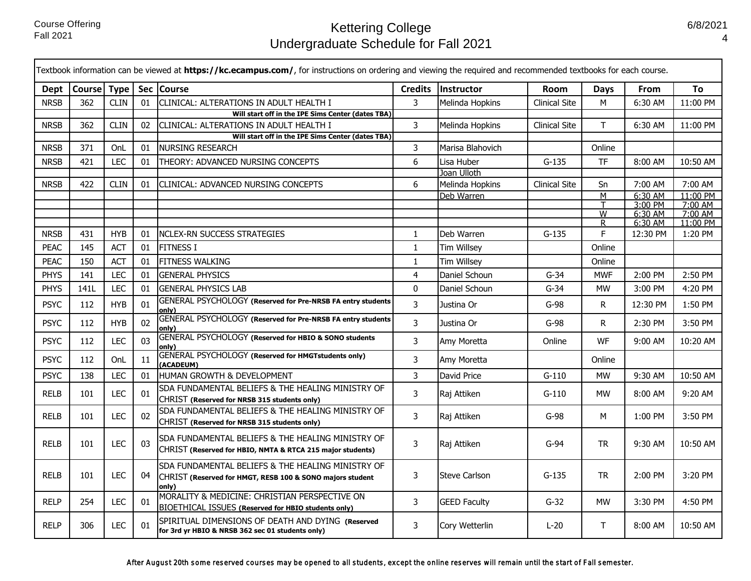|             |             |             |    | Textbook information can be viewed at https://kc.ecampus.com/, for instructions on ordering and viewing the required and recommended textbooks for each course. |                |                      |                      |             |                    |                     |
|-------------|-------------|-------------|----|-----------------------------------------------------------------------------------------------------------------------------------------------------------------|----------------|----------------------|----------------------|-------------|--------------------|---------------------|
| Dept        | Course Type |             |    | Sec Course                                                                                                                                                      | <b>Credits</b> | Instructor           | Room                 | <b>Days</b> | <b>From</b>        | To                  |
| <b>NRSB</b> | 362         | <b>CLIN</b> | 01 | CLINICAL: ALTERATIONS IN ADULT HEALTH I                                                                                                                         | $\overline{3}$ | Melinda Hopkins      | <b>Clinical Site</b> | М           | 6:30 AM            | 11:00 PM            |
|             |             |             |    | Will start off in the IPE Sims Center (dates TBA)                                                                                                               |                |                      |                      |             |                    |                     |
| <b>NRSB</b> | 362         | <b>CLIN</b> | 02 | CLINICAL: ALTERATIONS IN ADULT HEALTH I                                                                                                                         | 3              | Melinda Hopkins      | <b>Clinical Site</b> | T.          | 6:30 AM            | 11:00 PM            |
|             |             |             |    | Will start off in the IPE Sims Center (dates TBA)                                                                                                               |                |                      |                      |             |                    |                     |
| <b>NRSB</b> | 371         | OnL         | 01 | <b>NURSING RESEARCH</b>                                                                                                                                         | 3              | Marisa Blahovich     |                      | Online      |                    |                     |
| <b>NRSB</b> | 421         | <b>LEC</b>  | 01 | THEORY: ADVANCED NURSING CONCEPTS                                                                                                                               | 6              | Lisa Huber           | $G-135$              | <b>TF</b>   | 8:00 AM            | 10:50 AM            |
|             |             |             |    |                                                                                                                                                                 |                | Joan Ulloth          |                      |             |                    |                     |
| <b>NRSB</b> | 422         | <b>CLIN</b> | 01 | CLINICAL: ADVANCED NURSING CONCEPTS                                                                                                                             | 6              | Melinda Hopkins      | <b>Clinical Site</b> | Sn          | 7:00 AM            | 7:00 AM             |
|             |             |             |    |                                                                                                                                                                 |                | Deb Warren           |                      | M           | 6:30 AM<br>3:00 PM | 11:00 PM<br>7:00 AM |
|             |             |             |    |                                                                                                                                                                 |                |                      |                      | W           | 6:30 AM            | 7:00 AM             |
|             |             |             |    |                                                                                                                                                                 |                |                      |                      | R.          | 6:30 AM            | 11:00 PM            |
| <b>NRSB</b> | 431         | <b>HYB</b>  | 01 | <b>NCLEX-RN SUCCESS STRATEGIES</b>                                                                                                                              | $\mathbf{1}$   | Deb Warren           | $G-135$              | F.          | 12:30 PM           | 1:20 PM             |
| <b>PEAC</b> | 145         | <b>ACT</b>  | 01 | <b>FITNESS I</b>                                                                                                                                                | $\mathbf{1}$   | <b>Tim Willsey</b>   |                      | Online      |                    |                     |
| <b>PEAC</b> | 150         | <b>ACT</b>  | 01 | FITNESS WALKING                                                                                                                                                 | $\mathbf{1}$   | <b>Tim Willsey</b>   |                      | Online      |                    |                     |
| <b>PHYS</b> | 141         | <b>LEC</b>  | 01 | <b>GENERAL PHYSICS</b>                                                                                                                                          | $\overline{4}$ | Daniel Schoun        | $G-34$               | <b>MWF</b>  | 2:00 PM            | 2:50 PM             |
| <b>PHYS</b> | 141L        | <b>LEC</b>  | 01 | <b>GENERAL PHYSICS LAB</b>                                                                                                                                      | $\mathbf 0$    | Daniel Schoun        | $G-34$               | <b>MW</b>   | 3:00 PM            | 4:20 PM             |
| <b>PSYC</b> | 112         | <b>HYB</b>  | 01 | GENERAL PSYCHOLOGY (Reserved for Pre-NRSB FA entry students<br>onlv)                                                                                            | 3              | Justina Or           | $G-98$               | R.          | 12:30 PM           | 1:50 PM             |
| <b>PSYC</b> | 112         | <b>HYB</b>  | 02 | GENERAL PSYCHOLOGY (Reserved for Pre-NRSB FA entry students<br>only)                                                                                            | $\overline{3}$ | Justina Or           | $G-98$               | R.          | 2:30 PM            | 3:50 PM             |
| <b>PSYC</b> | 112         | <b>LEC</b>  | 03 | GENERAL PSYCHOLOGY (Reserved for HBIO & SONO students<br>only)                                                                                                  | $\overline{3}$ | Amy Moretta          | Online               | WF          | 9:00 AM            | 10:20 AM            |
| <b>PSYC</b> | 112         | OnL         | 11 | GENERAL PSYCHOLOGY (Reserved for HMGTstudents only)<br>(ACADEUM)                                                                                                | 3              | Amy Moretta          |                      | Online      |                    |                     |
| <b>PSYC</b> | 138         | <b>LEC</b>  | 01 | HUMAN GROWTH & DEVELOPMENT                                                                                                                                      | 3              | David Price          | $G-110$              | <b>MW</b>   | 9:30 AM            | 10:50 AM            |
| <b>RELB</b> | 101         | <b>LEC</b>  | 01 | SDA FUNDAMENTAL BELIEFS & THE HEALING MINISTRY OF<br>CHRIST (Reserved for NRSB 315 students only)                                                               | 3              | Raj Attiken          | $G-110$              | <b>MW</b>   | 8:00 AM            | 9:20 AM             |
| <b>RELB</b> | 101         | <b>LEC</b>  | 02 | SDA FUNDAMENTAL BELIEFS & THE HEALING MINISTRY OF<br>CHRIST (Reserved for NRSB 315 students only)                                                               | 3              | Raj Attiken          | G-98                 | м           | 1:00 PM            | 3:50 PM             |
| <b>RELB</b> | 101         | <b>LEC</b>  | 03 | SDA FUNDAMENTAL BELIEFS & THE HEALING MINISTRY OF<br>CHRIST (Reserved for HBIO, NMTA & RTCA 215 major students)                                                 | 3              | Raj Attiken          | G-94                 | <b>TR</b>   | 9:30 AM            | 10:50 AM            |
| <b>RELB</b> | 101         | <b>LEC</b>  | 04 | SDA FUNDAMENTAL BELIEFS & THE HEALING MINISTRY OF<br>CHRIST (Reserved for HMGT, RESB 100 & SONO majors student<br>only)                                         | 3              | <b>Steve Carlson</b> | $G-135$              | <b>TR</b>   | 2:00 PM            | 3:20 PM             |
| <b>RELP</b> | 254         | <b>LEC</b>  | 01 | MORALITY & MEDICINE: CHRISTIAN PERSPECTIVE ON<br><b>BIOETHICAL ISSUES (Reserved for HBIO students only)</b>                                                     | 3              | <b>GEED Faculty</b>  | $G-32$               | <b>MW</b>   | 3:30 PM            | 4:50 PM             |
| <b>RELP</b> | 306         | <b>LEC</b>  | 01 | SPIRITUAL DIMENSIONS OF DEATH AND DYING (Reserved<br>for 3rd yr HBIO & NRSB 362 sec 01 students only)                                                           | 3              | Cory Wetterlin       | $L-20$               | T.          | 8:00 AM            | 10:50 AM            |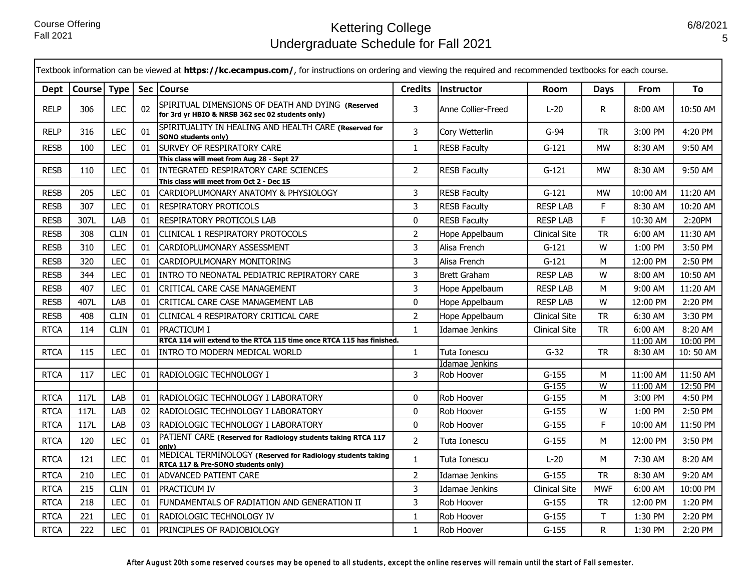п

|             | Textbook information can be viewed at https://kc.ecampus.com/, for instructions on ordering and viewing the required and recommended textbooks for each course. |             |    |                                                                                                       |                |                              |                      |                |          |          |  |  |
|-------------|-----------------------------------------------------------------------------------------------------------------------------------------------------------------|-------------|----|-------------------------------------------------------------------------------------------------------|----------------|------------------------------|----------------------|----------------|----------|----------|--|--|
| Dept        | Course Type                                                                                                                                                     |             |    | Sec Course                                                                                            | <b>Credits</b> | Instructor                   | <b>From</b>          | To             |          |          |  |  |
| <b>RELP</b> | 306                                                                                                                                                             | <b>LEC</b>  | 02 | SPIRITUAL DIMENSIONS OF DEATH AND DYING (Reserved<br>for 3rd yr HBIO & NRSB 362 sec 02 students only) | 3              | Anne Collier-Freed           | $L-20$               | R.             | 8:00 AM  | 10:50 AM |  |  |
| <b>RELP</b> | 316                                                                                                                                                             | <b>LEC</b>  | 01 | SPIRITUALITY IN HEALING AND HEALTH CARE (Reserved for<br><b>SONO students only)</b>                   | 3              | Cory Wetterlin               | $G-94$               | <b>TR</b>      | 3:00 PM  | 4:20 PM  |  |  |
| <b>RESB</b> | 100                                                                                                                                                             | <b>LEC</b>  | 01 | <b>SURVEY OF RESPIRATORY CARE</b>                                                                     | $\mathbf{1}$   | <b>RESB Faculty</b>          | $G-121$              | <b>MW</b>      | 8:30 AM  | 9:50 AM  |  |  |
|             |                                                                                                                                                                 |             |    | This class will meet from Aug 28 - Sept 27                                                            |                |                              |                      |                |          |          |  |  |
| <b>RESB</b> | 110                                                                                                                                                             | <b>LEC</b>  | 01 | IINTEGRATED RESPIRATORY CARE SCIENCES                                                                 | $\overline{2}$ | <b>RESB Faculty</b>          | $G-121$              | <b>MW</b>      | 8:30 AM  | 9:50 AM  |  |  |
| <b>RESB</b> | 205                                                                                                                                                             | <b>LEC</b>  | 01 | This class will meet from Oct 2 - Dec 15<br>CARDIOPLUMONARY ANATOMY & PHYSIOLOGY                      | 3              | <b>RESB Faculty</b>          | $G-121$              | <b>MW</b>      | 10:00 AM | 11:20 AM |  |  |
| <b>RESB</b> | 307                                                                                                                                                             | <b>LEC</b>  | 01 | <b>RESPIRATORY PROTICOLS</b>                                                                          | 3              | <b>RESB Faculty</b>          | <b>RESP LAB</b>      | F              | 8:30 AM  | 10:20 AM |  |  |
| <b>RESB</b> | 307L                                                                                                                                                            | LAB         | 01 | RESPIRATORY PROTICOLS LAB                                                                             | 0              | <b>RESB Faculty</b>          | <b>RESP LAB</b>      | F              | 10:30 AM | 2:20PM   |  |  |
|             |                                                                                                                                                                 |             |    |                                                                                                       |                |                              |                      |                |          |          |  |  |
| <b>RESB</b> | 308                                                                                                                                                             | <b>CLIN</b> | 01 | CLINICAL 1 RESPIRATORY PROTOCOLS                                                                      | $\overline{2}$ | Hope Appelbaum               | <b>Clinical Site</b> | <b>TR</b>      | 6:00 AM  | 11:30 AM |  |  |
| <b>RESB</b> | 310                                                                                                                                                             | <b>LEC</b>  | 01 | CARDIOPLUMONARY ASSESSMENT                                                                            | 3              | Alisa French                 | $G-121$              | W              | 1:00 PM  | 3:50 PM  |  |  |
| <b>RESB</b> | 320                                                                                                                                                             | <b>LEC</b>  | 01 | CARDIOPULMONARY MONITORING                                                                            | 3              | Alisa French                 | $G-121$              | М              | 12:00 PM | 2:50 PM  |  |  |
| <b>RESB</b> | 344                                                                                                                                                             | <b>LEC</b>  | 01 | INTRO TO NEONATAL PEDIATRIC REPIRATORY CARE                                                           | 3              | Brett Graham                 | <b>RESP LAB</b>      | W              | 8:00 AM  | 10:50 AM |  |  |
| <b>RESB</b> | 407                                                                                                                                                             | <b>LEC</b>  | 01 | CRITICAL CARE CASE MANAGEMENT                                                                         | 3              | Hope Appelbaum               | <b>RESP LAB</b>      | м              | 9:00 AM  | 11:20 AM |  |  |
| <b>RESB</b> | 407L                                                                                                                                                            | LAB         | 01 | CRITICAL CARE CASE MANAGEMENT LAB                                                                     | 0              | Hope Appelbaum               | <b>RESP LAB</b>      | W              | 12:00 PM | 2:20 PM  |  |  |
| <b>RESB</b> | 408                                                                                                                                                             | <b>CLIN</b> | 01 | CLINICAL 4 RESPIRATORY CRITICAL CARE                                                                  | $\overline{2}$ | Hope Appelbaum               | <b>Clinical Site</b> | <b>TR</b>      | 6:30 AM  | 3:30 PM  |  |  |
| <b>RTCA</b> | 114                                                                                                                                                             | <b>CLIN</b> | 01 | <b>PRACTICUM I</b>                                                                                    | $\mathbf{1}$   | <b>Idamae Jenkins</b>        | <b>Clinical Site</b> | <b>TR</b>      | 6:00 AM  | 8:20 AM  |  |  |
|             |                                                                                                                                                                 |             |    | RTCA 114 will extend to the RTCA 115 time once RTCA 115 has finished.                                 |                |                              |                      |                | 11:00 AM | 10:00 PM |  |  |
| <b>RTCA</b> | 115                                                                                                                                                             | <b>LEC</b>  | 01 | <b>INTRO TO MODERN MEDICAL WORLD</b>                                                                  | $\mathbf{1}$   | Tuta Ionescu                 | $G-32$               | <b>TR</b>      | 8:30 AM  | 10:50 AM |  |  |
| <b>RTCA</b> | 117                                                                                                                                                             | <b>LEC</b>  | 01 | RADIOLOGIC TECHNOLOGY I                                                                               | 3              | Idamae Jenkins<br>Rob Hoover | $G-155$              | M              | 11:00 AM | 11:50 AM |  |  |
|             |                                                                                                                                                                 |             |    |                                                                                                       |                |                              | $G-155$              | $\overline{W}$ | 11:00 AM | 12:50 PM |  |  |
| <b>RTCA</b> | 117L                                                                                                                                                            | LAB         | 01 | RADIOLOGIC TECHNOLOGY I LABORATORY                                                                    | 0              | Rob Hoover                   | $G-155$              | М              | 3:00 PM  | 4:50 PM  |  |  |
| <b>RTCA</b> | 117L                                                                                                                                                            | LAB         | 02 | RADIOLOGIC TECHNOLOGY I LABORATORY                                                                    | 0              | Rob Hoover                   | $G-155$              | W              | 1:00 PM  | 2:50 PM  |  |  |
| <b>RTCA</b> | 117L                                                                                                                                                            | LAB         | 03 | RADIOLOGIC TECHNOLOGY I LABORATORY                                                                    | $\mathbf 0$    | Rob Hoover                   | $G-155$              | F.             | 10:00 AM | 11:50 PM |  |  |
| <b>RTCA</b> | 120                                                                                                                                                             | LEC         | 01 | PATIENT CARE (Reserved for Radiology students taking RTCA 117<br>only)                                | $\overline{2}$ | Tuta Ionescu                 | $G-155$              | М              | 12:00 PM | 3:50 PM  |  |  |
| <b>RTCA</b> | 121                                                                                                                                                             | <b>LEC</b>  | 01 | MEDICAL TERMINOLOGY (Reserved for Radiology students taking<br>RTCA 117 & Pre-SONO students only)     | $\mathbf{1}$   | Tuta Ionescu                 | $L-20$               | М              | 7:30 AM  | 8:20 AM  |  |  |
| <b>RTCA</b> | 210                                                                                                                                                             | <b>LEC</b>  | 01 | ADVANCED PATIENT CARE                                                                                 | $\overline{2}$ | Idamae Jenkins               | $G-155$              | <b>TR</b>      | 8:30 AM  | 9:20 AM  |  |  |
| <b>RTCA</b> | 215                                                                                                                                                             | <b>CLIN</b> | 01 | <b>PRACTICUM IV</b>                                                                                   | 3              | Idamae Jenkins               | <b>Clinical Site</b> | <b>MWF</b>     | 6:00 AM  | 10:00 PM |  |  |
| <b>RTCA</b> | 218                                                                                                                                                             | <b>LEC</b>  | 01 | FUNDAMENTALS OF RADIATION AND GENERATION II                                                           | 3              | Rob Hoover                   | $G-155$              | <b>TR</b>      | 12:00 PM | 1:20 PM  |  |  |
| <b>RTCA</b> | 221                                                                                                                                                             | LEC         | 01 | RADIOLOGIC TECHNOLOGY IV                                                                              | $\mathbf{1}$   | Rob Hoover                   | $G-155$              | Т              | 1:30 PM  | 2:20 PM  |  |  |
| <b>RTCA</b> | 222                                                                                                                                                             | <b>LEC</b>  | 01 | PRINCIPLES OF RADIOBIOLOGY                                                                            | $\mathbf{1}$   | Rob Hoover                   | $G-155$              | R.             | 1:30 PM  | 2:20 PM  |  |  |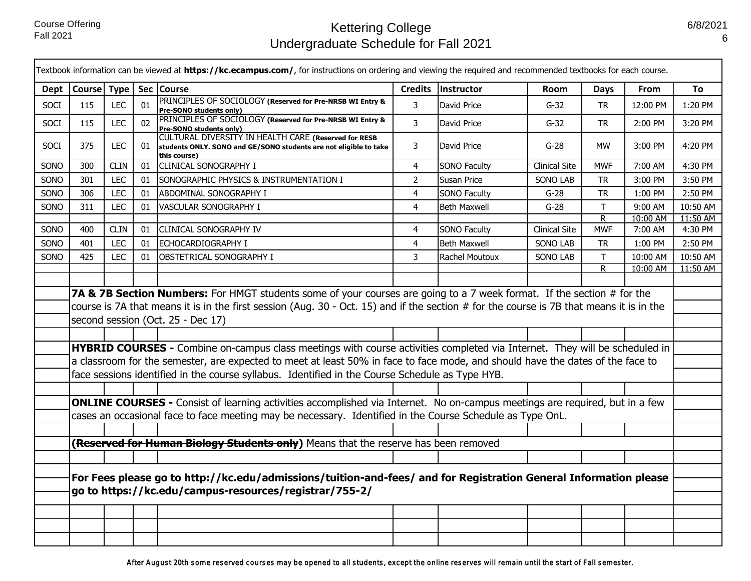|             |                                                                                                                  |             |    | Textbook information can be viewed at https://kc.ecampus.com/, for instructions on ordering and viewing the required and recommended textbooks for each course.                                                                                                                                         |                |                     |                      |                |          |          |
|-------------|------------------------------------------------------------------------------------------------------------------|-------------|----|---------------------------------------------------------------------------------------------------------------------------------------------------------------------------------------------------------------------------------------------------------------------------------------------------------|----------------|---------------------|----------------------|----------------|----------|----------|
| Dept        | Course Type                                                                                                      |             |    | Sec   Course                                                                                                                                                                                                                                                                                            | <b>Credits</b> | Instructor          | Room                 | Days           | From     | To       |
| SOCI        | 115                                                                                                              | <b>LEC</b>  | 01 | PRINCIPLES OF SOCIOLOGY (Reserved for Pre-NRSB WI Entry &<br>Pre-SONO students only)                                                                                                                                                                                                                    | $\overline{3}$ | David Price         | $G-32$               | <b>TR</b>      | 12:00 PM | 1:20 PM  |
| <b>SOCI</b> | 115                                                                                                              | <b>LEC</b>  | 02 | PRINCIPLES OF SOCIOLOGY (Reserved for Pre-NRSB WI Entry &<br>Pre-SONO students only)                                                                                                                                                                                                                    | 3              | David Price         | $G-32$               | <b>TR</b>      | 2:00 PM  | 3:20 PM  |
| <b>SOCI</b> | 375                                                                                                              | <b>LEC</b>  | 01 | CULTURAL DIVERSITY IN HEALTH CARE (Reserved for RESB<br>students ONLY. SONO and GE/SONO students are not eligible to take<br>this course)                                                                                                                                                               | 3              | David Price         | $G-28$               | <b>MW</b>      | 3:00 PM  | 4:20 PM  |
| SONO        | 300                                                                                                              | <b>CLIN</b> | 01 | <b>CLINICAL SONOGRAPHY I</b>                                                                                                                                                                                                                                                                            | $\overline{4}$ | <b>SONO Faculty</b> | <b>Clinical Site</b> | <b>MWF</b>     | 7:00 AM  | 4:30 PM  |
| SONO        | 301                                                                                                              | <b>LEC</b>  | 01 | SONOGRAPHIC PHYSICS & INSTRUMENTATION I                                                                                                                                                                                                                                                                 | $\overline{2}$ | Susan Price         | <b>SONO LAB</b>      | TR             | 3:00 PM  | 3:50 PM  |
| SONO        | 306                                                                                                              | <b>LEC</b>  | 01 | ABDOMINAL SONOGRAPHY I                                                                                                                                                                                                                                                                                  | $\overline{4}$ | <b>SONO Faculty</b> | $G-28$               | <b>TR</b>      | 1:00 PM  | 2:50 PM  |
| SONO        | 311                                                                                                              | <b>LEC</b>  | 01 | VASCULAR SONOGRAPHY I                                                                                                                                                                                                                                                                                   | $\overline{4}$ | <b>Beth Maxwell</b> | $G-28$               | T.             | 9:00 AM  | 10:50 AM |
|             |                                                                                                                  |             |    |                                                                                                                                                                                                                                                                                                         |                |                     |                      | R.             | 10:00 AM | 11:50 AM |
| SONO        | 400                                                                                                              | <b>CLIN</b> | 01 | <b>CLINICAL SONOGRAPHY IV</b>                                                                                                                                                                                                                                                                           | 4              | <b>SONO Faculty</b> | <b>Clinical Site</b> | <b>MWF</b>     | 7:00 AM  | 4:30 PM  |
| SONO        | 401                                                                                                              | <b>LEC</b>  | 01 | <b>ECHOCARDIOGRAPHY I</b>                                                                                                                                                                                                                                                                               | $\overline{4}$ | <b>Beth Maxwell</b> | SONO LAB             | <b>TR</b>      | 1:00 PM  | 2:50 PM  |
| SONO        | 425                                                                                                              | <b>LEC</b>  | 01 | <b>OBSTETRICAL SONOGRAPHY I</b>                                                                                                                                                                                                                                                                         | 3              | Rachel Moutoux      | <b>SONO LAB</b>      | T.             | 10:00 AM | 10:50 AM |
|             |                                                                                                                  |             |    |                                                                                                                                                                                                                                                                                                         |                |                     |                      | $\overline{R}$ | 10:00 AM | 11:50 AM |
|             |                                                                                                                  |             |    |                                                                                                                                                                                                                                                                                                         |                |                     |                      |                |          |          |
|             |                                                                                                                  |             |    | 7A & 7B Section Numbers: For HMGT students some of your courses are going to a 7 week format. If the section # for the<br>course is 7A that means it is in the first session (Aug. 30 - Oct. 15) and if the section # for the course is 7B that means it is in the<br>second session (Oct. 25 - Dec 17) |                |                     |                      |                |          |          |
|             |                                                                                                                  |             |    |                                                                                                                                                                                                                                                                                                         |                |                     |                      |                |          |          |
|             |                                                                                                                  |             |    | HYBRID COURSES - Combine on-campus class meetings with course activities completed via Internet. They will be scheduled in                                                                                                                                                                              |                |                     |                      |                |          |          |
|             |                                                                                                                  |             |    | a classroom for the semester, are expected to meet at least 50% in face to face mode, and should have the dates of the face to                                                                                                                                                                          |                |                     |                      |                |          |          |
|             |                                                                                                                  |             |    | face sessions identified in the course syllabus. Identified in the Course Schedule as Type HYB.                                                                                                                                                                                                         |                |                     |                      |                |          |          |
|             |                                                                                                                  |             |    |                                                                                                                                                                                                                                                                                                         |                |                     |                      |                |          |          |
|             |                                                                                                                  |             |    | <b>ONLINE COURSES</b> - Consist of learning activities accomplished via Internet. No on-campus meetings are required, but in a few                                                                                                                                                                      |                |                     |                      |                |          |          |
|             |                                                                                                                  |             |    | cases an occasional face to face meeting may be necessary. Identified in the Course Schedule as Type OnL.                                                                                                                                                                                               |                |                     |                      |                |          |          |
|             |                                                                                                                  |             |    |                                                                                                                                                                                                                                                                                                         |                |                     |                      |                |          |          |
|             |                                                                                                                  |             |    | (Reserved for Human Biology Students only) Means that the reserve has been removed                                                                                                                                                                                                                      |                |                     |                      |                |          |          |
|             |                                                                                                                  |             |    |                                                                                                                                                                                                                                                                                                         |                |                     |                      |                |          |          |
|             |                                                                                                                  |             |    |                                                                                                                                                                                                                                                                                                         |                |                     |                      |                |          |          |
|             | For Fees please go to http://kc.edu/admissions/tuition-and-fees/ and for Registration General Information please |             |    |                                                                                                                                                                                                                                                                                                         |                |                     |                      |                |          |          |
|             |                                                                                                                  |             |    | go to https://kc.edu/campus-resources/registrar/755-2/                                                                                                                                                                                                                                                  |                |                     |                      |                |          |          |
|             |                                                                                                                  |             |    |                                                                                                                                                                                                                                                                                                         |                |                     |                      |                |          |          |
|             |                                                                                                                  |             |    |                                                                                                                                                                                                                                                                                                         |                |                     |                      |                |          |          |
|             |                                                                                                                  |             |    |                                                                                                                                                                                                                                                                                                         |                |                     |                      |                |          |          |